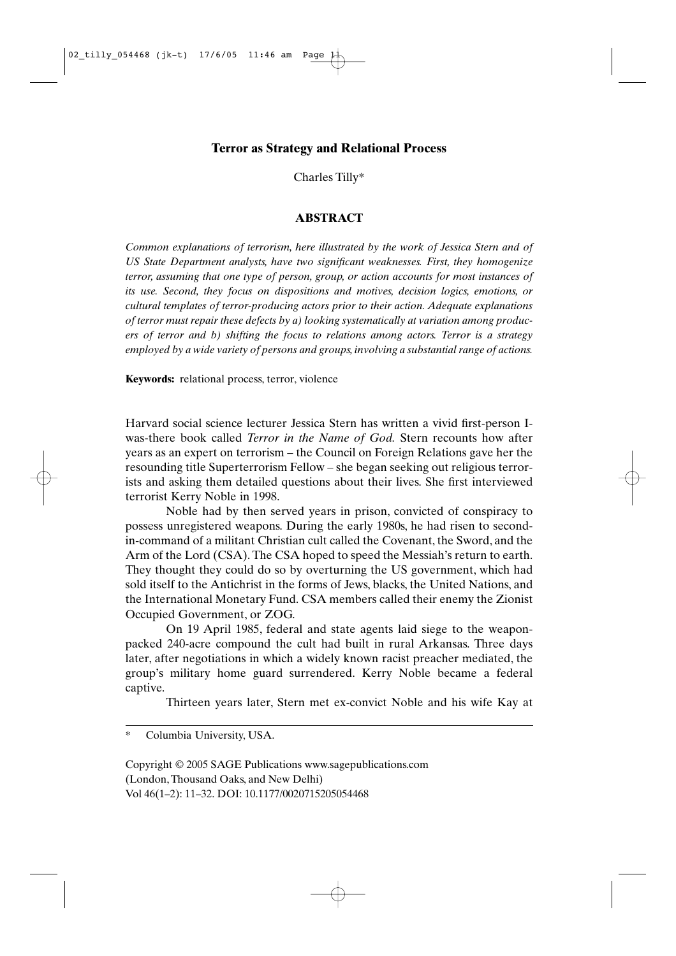# **Terror as Strategy and Relational Process**

Charles Tilly\*

#### **ABSTRACT**

*Common explanations of terrorism, here illustrated by the work of Jessica Stern and of US State Department analysts, have two significant weaknesses. First, they homogenize terror, assuming that one type of person, group, or action accounts for most instances of its use. Second, they focus on dispositions and motives, decision logics, emotions, or cultural templates of terror-producing actors prior to their action. Adequate explanations of terror must repair these defects by a) looking systematically at variation among producers of terror and b) shifting the focus to relations among actors. Terror is a strategy employed by a wide variety of persons and groups, involving a substantial range of actions.*

**Keywords:** relational process, terror, violence

Harvard social science lecturer Jessica Stern has written a vivid first-person Iwas-there book called *Terror in the Name of God.* Stern recounts how after years as an expert on terrorism – the Council on Foreign Relations gave her the resounding title Superterrorism Fellow – she began seeking out religious terrorists and asking them detailed questions about their lives. She first interviewed terrorist Kerry Noble in 1998.

Noble had by then served years in prison, convicted of conspiracy to possess unregistered weapons. During the early 1980s, he had risen to secondin-command of a militant Christian cult called the Covenant, the Sword, and the Arm of the Lord (CSA). The CSA hoped to speed the Messiah's return to earth. They thought they could do so by overturning the US government, which had sold itself to the Antichrist in the forms of Jews, blacks, the United Nations, and the International Monetary Fund. CSA members called their enemy the Zionist Occupied Government, or ZOG.

On 19 April 1985, federal and state agents laid siege to the weaponpacked 240-acre compound the cult had built in rural Arkansas. Three days later, after negotiations in which a widely known racist preacher mediated, the group's military home guard surrendered. Kerry Noble became a federal captive.

Thirteen years later, Stern met ex-convict Noble and his wife Kay at

Columbia University, USA.

Copyright © 2005 SAGE Publications www.sagepublications.com (London, Thousand Oaks, and New Delhi) Vol 46(1–2): 11–32. DOI: 10.1177/0020715205054468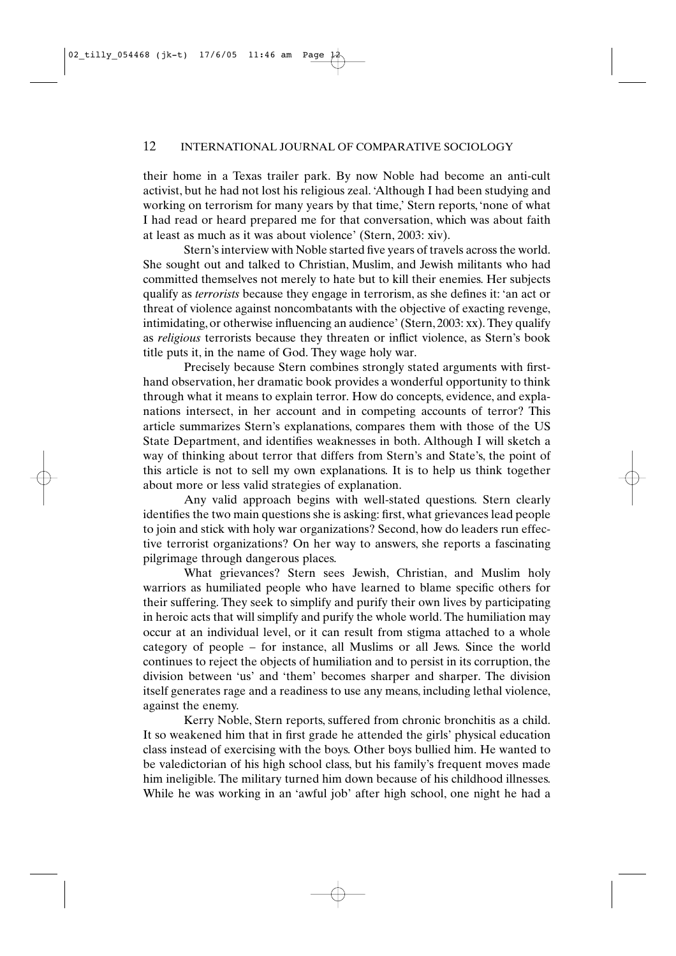their home in a Texas trailer park. By now Noble had become an anti-cult activist, but he had not lost his religious zeal. 'Although I had been studying and working on terrorism for many years by that time,' Stern reports, 'none of what I had read or heard prepared me for that conversation, which was about faith at least as much as it was about violence' (Stern, 2003: xiv).

Stern's interview with Noble started five years of travels across the world. She sought out and talked to Christian, Muslim, and Jewish militants who had committed themselves not merely to hate but to kill their enemies. Her subjects qualify as *terrorists* because they engage in terrorism, as she defines it: 'an act or threat of violence against noncombatants with the objective of exacting revenge, intimidating, or otherwise influencing an audience' (Stern, 2003: xx). They qualify as *religious* terrorists because they threaten or inflict violence, as Stern's book title puts it, in the name of God. They wage holy war.

Precisely because Stern combines strongly stated arguments with firsthand observation, her dramatic book provides a wonderful opportunity to think through what it means to explain terror. How do concepts, evidence, and explanations intersect, in her account and in competing accounts of terror? This article summarizes Stern's explanations, compares them with those of the US State Department, and identifies weaknesses in both. Although I will sketch a way of thinking about terror that differs from Stern's and State's, the point of this article is not to sell my own explanations. It is to help us think together about more or less valid strategies of explanation.

Any valid approach begins with well-stated questions. Stern clearly identifies the two main questions she is asking: first, what grievances lead people to join and stick with holy war organizations? Second, how do leaders run effective terrorist organizations? On her way to answers, she reports a fascinating pilgrimage through dangerous places.

What grievances? Stern sees Jewish, Christian, and Muslim holy warriors as humiliated people who have learned to blame specific others for their suffering. They seek to simplify and purify their own lives by participating in heroic acts that will simplify and purify the whole world. The humiliation may occur at an individual level, or it can result from stigma attached to a whole category of people – for instance, all Muslims or all Jews. Since the world continues to reject the objects of humiliation and to persist in its corruption, the division between 'us' and 'them' becomes sharper and sharper. The division itself generates rage and a readiness to use any means, including lethal violence, against the enemy.

Kerry Noble, Stern reports, suffered from chronic bronchitis as a child. It so weakened him that in first grade he attended the girls' physical education class instead of exercising with the boys. Other boys bullied him. He wanted to be valedictorian of his high school class, but his family's frequent moves made him ineligible. The military turned him down because of his childhood illnesses. While he was working in an 'awful job' after high school, one night he had a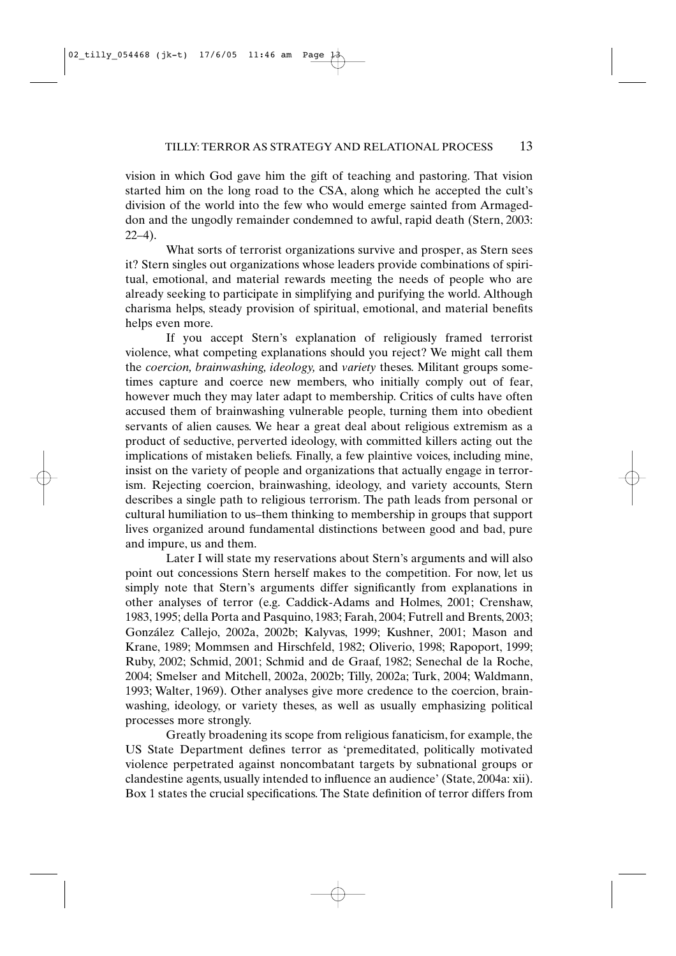vision in which God gave him the gift of teaching and pastoring. That vision started him on the long road to the CSA, along which he accepted the cult's division of the world into the few who would emerge sainted from Armageddon and the ungodly remainder condemned to awful, rapid death (Stern, 2003:  $22-4$ ).

What sorts of terrorist organizations survive and prosper, as Stern sees it? Stern singles out organizations whose leaders provide combinations of spiritual, emotional, and material rewards meeting the needs of people who are already seeking to participate in simplifying and purifying the world. Although charisma helps, steady provision of spiritual, emotional, and material benefits helps even more.

If you accept Stern's explanation of religiously framed terrorist violence, what competing explanations should you reject? We might call them the *coercion, brainwashing, ideology,* and *variety* theses. Militant groups sometimes capture and coerce new members, who initially comply out of fear, however much they may later adapt to membership. Critics of cults have often accused them of brainwashing vulnerable people, turning them into obedient servants of alien causes. We hear a great deal about religious extremism as a product of seductive, perverted ideology, with committed killers acting out the implications of mistaken beliefs. Finally, a few plaintive voices, including mine, insist on the variety of people and organizations that actually engage in terrorism. Rejecting coercion, brainwashing, ideology, and variety accounts, Stern describes a single path to religious terrorism. The path leads from personal or cultural humiliation to us–them thinking to membership in groups that support lives organized around fundamental distinctions between good and bad, pure and impure, us and them.

Later I will state my reservations about Stern's arguments and will also point out concessions Stern herself makes to the competition. For now, let us simply note that Stern's arguments differ significantly from explanations in other analyses of terror (e.g. Caddick-Adams and Holmes, 2001; Crenshaw, 1983, 1995; della Porta and Pasquino, 1983; Farah, 2004; Futrell and Brents, 2003; González Callejo, 2002a, 2002b; Kalyvas, 1999; Kushner, 2001; Mason and Krane, 1989; Mommsen and Hirschfeld, 1982; Oliverio, 1998; Rapoport, 1999; Ruby, 2002; Schmid, 2001; Schmid and de Graaf, 1982; Senechal de la Roche, 2004; Smelser and Mitchell, 2002a, 2002b; Tilly, 2002a; Turk, 2004; Waldmann, 1993; Walter, 1969). Other analyses give more credence to the coercion, brainwashing, ideology, or variety theses, as well as usually emphasizing political processes more strongly.

Greatly broadening its scope from religious fanaticism, for example, the US State Department defines terror as 'premeditated, politically motivated violence perpetrated against noncombatant targets by subnational groups or clandestine agents, usually intended to influence an audience' (State, 2004a: xii). Box 1 states the crucial specifications. The State definition of terror differs from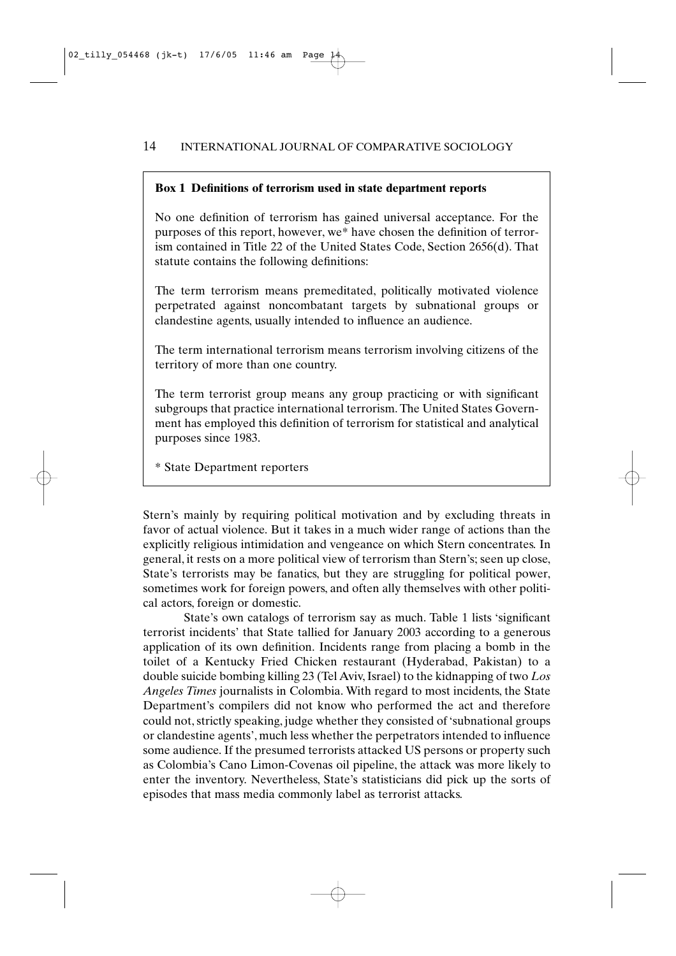# **Box 1 Definitions of terrorism used in state department reports**

No one definition of terrorism has gained universal acceptance. For the purposes of this report, however, we\* have chosen the definition of terrorism contained in Title 22 of the United States Code, Section 2656(d). That statute contains the following definitions:

The term terrorism means premeditated, politically motivated violence perpetrated against noncombatant targets by subnational groups or clandestine agents, usually intended to influence an audience.

The term international terrorism means terrorism involving citizens of the territory of more than one country.

The term terrorist group means any group practicing or with significant subgroups that practice international terrorism. The United States Government has employed this definition of terrorism for statistical and analytical purposes since 1983.

\* State Department reporters

Stern's mainly by requiring political motivation and by excluding threats in favor of actual violence. But it takes in a much wider range of actions than the explicitly religious intimidation and vengeance on which Stern concentrates. In general, it rests on a more political view of terrorism than Stern's; seen up close, State's terrorists may be fanatics, but they are struggling for political power, sometimes work for foreign powers, and often ally themselves with other political actors, foreign or domestic.

State's own catalogs of terrorism say as much. Table 1 lists 'significant terrorist incidents' that State tallied for January 2003 according to a generous application of its own definition. Incidents range from placing a bomb in the toilet of a Kentucky Fried Chicken restaurant (Hyderabad, Pakistan) to a double suicide bombing killing 23 (Tel Aviv, Israel) to the kidnapping of two *Los Angeles Times* journalists in Colombia. With regard to most incidents, the State Department's compilers did not know who performed the act and therefore could not, strictly speaking, judge whether they consisted of 'subnational groups or clandestine agents', much less whether the perpetrators intended to influence some audience. If the presumed terrorists attacked US persons or property such as Colombia's Cano Limon-Covenas oil pipeline, the attack was more likely to enter the inventory. Nevertheless, State's statisticians did pick up the sorts of episodes that mass media commonly label as terrorist attacks.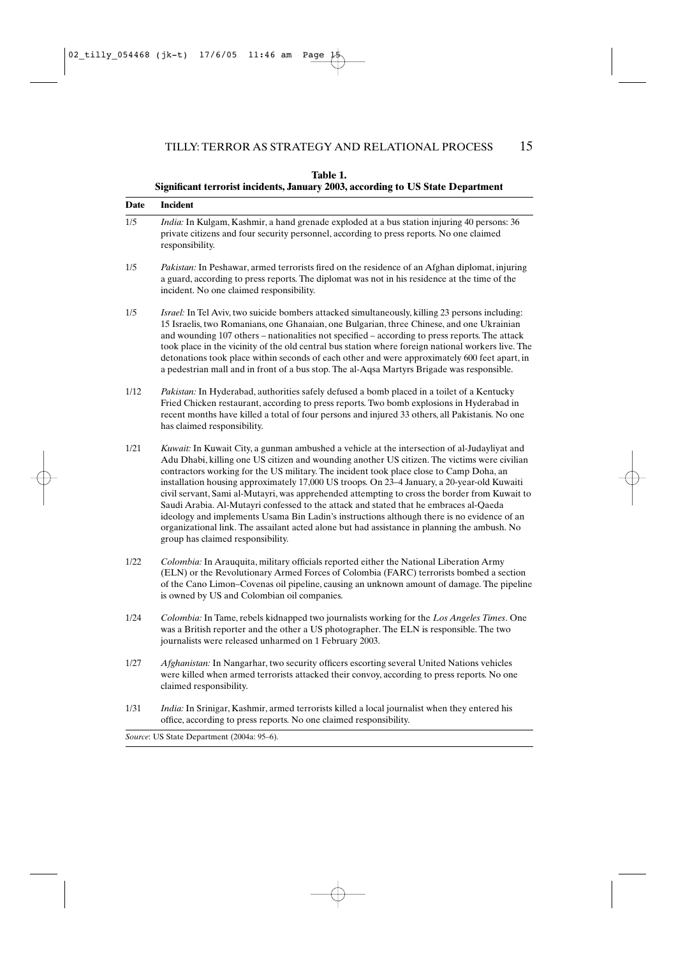| Date | Incident                                                                                                                                                                                                                                                                                                                                                                                                                                                                                                                                                                                                                                                                                                                                                                                                                   |
|------|----------------------------------------------------------------------------------------------------------------------------------------------------------------------------------------------------------------------------------------------------------------------------------------------------------------------------------------------------------------------------------------------------------------------------------------------------------------------------------------------------------------------------------------------------------------------------------------------------------------------------------------------------------------------------------------------------------------------------------------------------------------------------------------------------------------------------|
| 1/5  | India: In Kulgam, Kashmir, a hand grenade exploded at a bus station injuring 40 persons: 36<br>private citizens and four security personnel, according to press reports. No one claimed<br>responsibility.                                                                                                                                                                                                                                                                                                                                                                                                                                                                                                                                                                                                                 |
| 1/5  | Pakistan: In Peshawar, armed terrorists fired on the residence of an Afghan diplomat, injuring<br>a guard, according to press reports. The diplomat was not in his residence at the time of the<br>incident. No one claimed responsibility.                                                                                                                                                                                                                                                                                                                                                                                                                                                                                                                                                                                |
| 1/5  | Israel: In Tel Aviv, two suicide bombers attacked simultaneously, killing 23 persons including:<br>15 Israelis, two Romanians, one Ghanaian, one Bulgarian, three Chinese, and one Ukrainian<br>and wounding 107 others - nationalities not specified - according to press reports. The attack<br>took place in the vicinity of the old central bus station where foreign national workers live. The<br>detonations took place within seconds of each other and were approximately 600 feet apart, in<br>a pedestrian mall and in front of a bus stop. The al-Aqsa Martyrs Brigade was responsible.                                                                                                                                                                                                                        |
| 1/12 | Pakistan: In Hyderabad, authorities safely defused a bomb placed in a toilet of a Kentucky<br>Fried Chicken restaurant, according to press reports. Two bomb explosions in Hyderabad in<br>recent months have killed a total of four persons and injured 33 others, all Pakistanis. No one<br>has claimed responsibility.                                                                                                                                                                                                                                                                                                                                                                                                                                                                                                  |
| 1/21 | <i>Kuwait:</i> In Kuwait City, a gunman ambushed a vehicle at the intersection of al-Judayliyat and<br>Adu Dhabi, killing one US citizen and wounding another US citizen. The victims were civilian<br>contractors working for the US military. The incident took place close to Camp Doha, an<br>installation housing approximately 17,000 US troops. On 23-4 January, a 20-year-old Kuwaiti<br>civil servant, Sami al-Mutayri, was apprehended attempting to cross the border from Kuwait to<br>Saudi Arabia. Al-Mutayri confessed to the attack and stated that he embraces al-Qaeda<br>ideology and implements Usama Bin Ladin's instructions although there is no evidence of an<br>organizational link. The assailant acted alone but had assistance in planning the ambush. No<br>group has claimed responsibility. |
| 1/22 | Colombia: In Arauquita, military officials reported either the National Liberation Army<br>(ELN) or the Revolutionary Armed Forces of Colombia (FARC) terrorists bombed a section<br>of the Cano Limon–Covenas oil pipeline, causing an unknown amount of damage. The pipeline<br>is owned by US and Colombian oil companies.                                                                                                                                                                                                                                                                                                                                                                                                                                                                                              |
| 1/24 | Colombia: In Tame, rebels kidnapped two journalists working for the Los Angeles Times. One<br>was a British reporter and the other a US photographer. The ELN is responsible. The two<br>journalists were released unharmed on 1 February 2003.                                                                                                                                                                                                                                                                                                                                                                                                                                                                                                                                                                            |
| 1/27 | Afghanistan: In Nangarhar, two security officers escorting several United Nations vehicles<br>were killed when armed terrorists attacked their convoy, according to press reports. No one<br>claimed responsibility.                                                                                                                                                                                                                                                                                                                                                                                                                                                                                                                                                                                                       |
| 1/31 | India: In Srinigar, Kashmir, armed terrorists killed a local journalist when they entered his<br>office, according to press reports. No one claimed responsibility.<br>$C$ control LIC $C$ to the Department (2004 - $0\zeta$ )                                                                                                                                                                                                                                                                                                                                                                                                                                                                                                                                                                                            |

#### **Table 1. Significant terrorist incidents, January 2003, according to US State Department**

*Source*: US State Department (2004a: 95–6).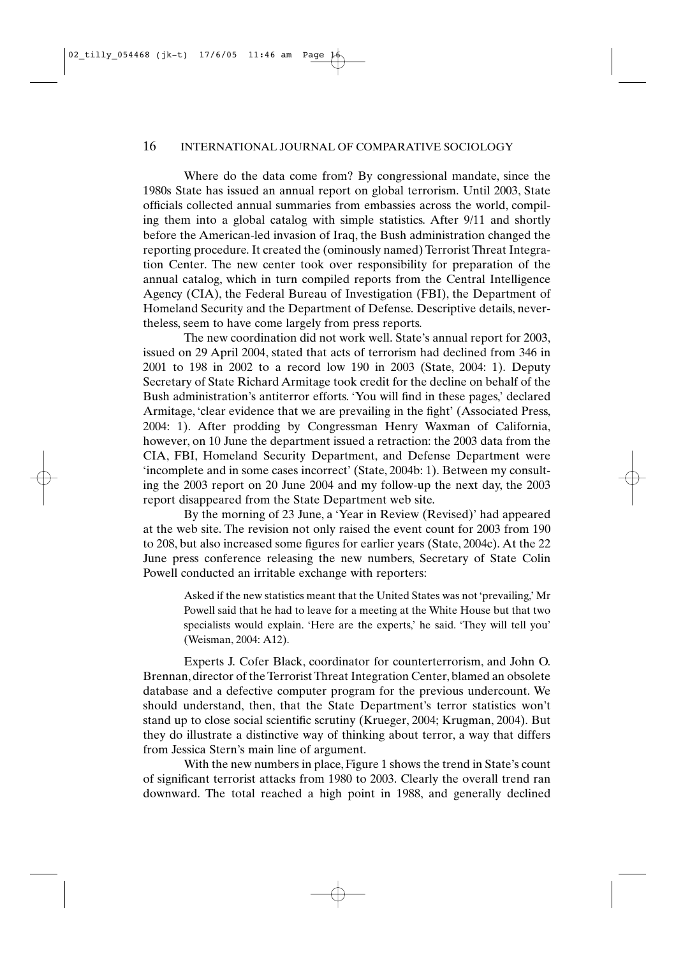Where do the data come from? By congressional mandate, since the 1980s State has issued an annual report on global terrorism. Until 2003, State officials collected annual summaries from embassies across the world, compiling them into a global catalog with simple statistics. After 9/11 and shortly before the American-led invasion of Iraq, the Bush administration changed the reporting procedure. It created the (ominously named) Terrorist Threat Integration Center. The new center took over responsibility for preparation of the annual catalog, which in turn compiled reports from the Central Intelligence Agency (CIA), the Federal Bureau of Investigation (FBI), the Department of Homeland Security and the Department of Defense. Descriptive details, nevertheless, seem to have come largely from press reports.

The new coordination did not work well. State's annual report for 2003, issued on 29 April 2004, stated that acts of terrorism had declined from 346 in 2001 to 198 in 2002 to a record low 190 in 2003 (State, 2004: 1). Deputy Secretary of State Richard Armitage took credit for the decline on behalf of the Bush administration's antiterror efforts. 'You will find in these pages,' declared Armitage, 'clear evidence that we are prevailing in the fight' (Associated Press, 2004: 1). After prodding by Congressman Henry Waxman of California, however, on 10 June the department issued a retraction: the 2003 data from the CIA, FBI, Homeland Security Department, and Defense Department were 'incomplete and in some cases incorrect' (State, 2004b: 1). Between my consulting the 2003 report on 20 June 2004 and my follow-up the next day, the 2003 report disappeared from the State Department web site.

By the morning of 23 June, a 'Year in Review (Revised)' had appeared at the web site. The revision not only raised the event count for 2003 from 190 to 208, but also increased some figures for earlier years (State, 2004c). At the 22 June press conference releasing the new numbers, Secretary of State Colin Powell conducted an irritable exchange with reporters:

Asked if the new statistics meant that the United States was not 'prevailing,' Mr Powell said that he had to leave for a meeting at the White House but that two specialists would explain. 'Here are the experts,' he said. 'They will tell you' (Weisman, 2004: A12).

Experts J. Cofer Black, coordinator for counterterrorism, and John O. Brennan, director of the Terrorist Threat Integration Center, blamed an obsolete database and a defective computer program for the previous undercount. We should understand, then, that the State Department's terror statistics won't stand up to close social scientific scrutiny (Krueger, 2004; Krugman, 2004). But they do illustrate a distinctive way of thinking about terror, a way that differs from Jessica Stern's main line of argument.

With the new numbers in place, Figure 1 shows the trend in State's count of significant terrorist attacks from 1980 to 2003. Clearly the overall trend ran downward. The total reached a high point in 1988, and generally declined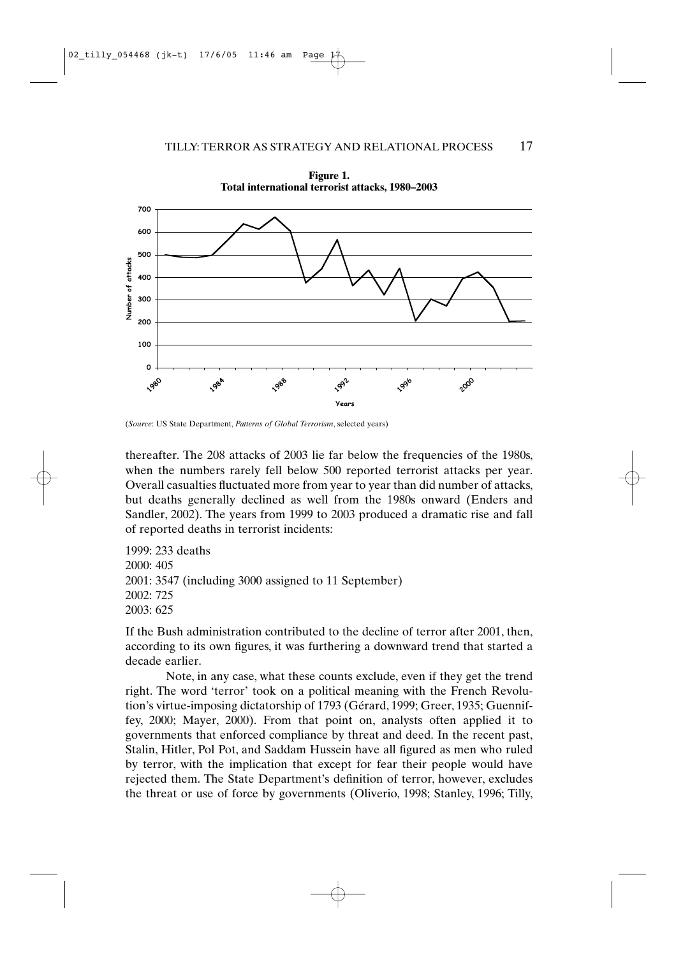

**Figure 1. Total international terrorist attacks, 1980–2003**

(*Source*: US State Department, *Patterns of Global Terrorism*, selected years)

thereafter. The 208 attacks of 2003 lie far below the frequencies of the 1980s, when the numbers rarely fell below 500 reported terrorist attacks per year. Overall casualties fluctuated more from year to year than did number of attacks, but deaths generally declined as well from the 1980s onward (Enders and Sandler, 2002). The years from 1999 to 2003 produced a dramatic rise and fall of reported deaths in terrorist incidents:

1999: 233 deaths 2000: 405 2001: 3547 (including 3000 assigned to 11 September) 2002: 725 2003: 625

If the Bush administration contributed to the decline of terror after 2001, then, according to its own figures, it was furthering a downward trend that started a decade earlier.

Note, in any case, what these counts exclude, even if they get the trend right. The word 'terror' took on a political meaning with the French Revolution's virtue-imposing dictatorship of 1793 (Gérard, 1999; Greer, 1935; Guenniffey, 2000; Mayer, 2000). From that point on, analysts often applied it to governments that enforced compliance by threat and deed. In the recent past, Stalin, Hitler, Pol Pot, and Saddam Hussein have all figured as men who ruled by terror, with the implication that except for fear their people would have rejected them. The State Department's definition of terror, however, excludes the threat or use of force by governments (Oliverio, 1998; Stanley, 1996; Tilly,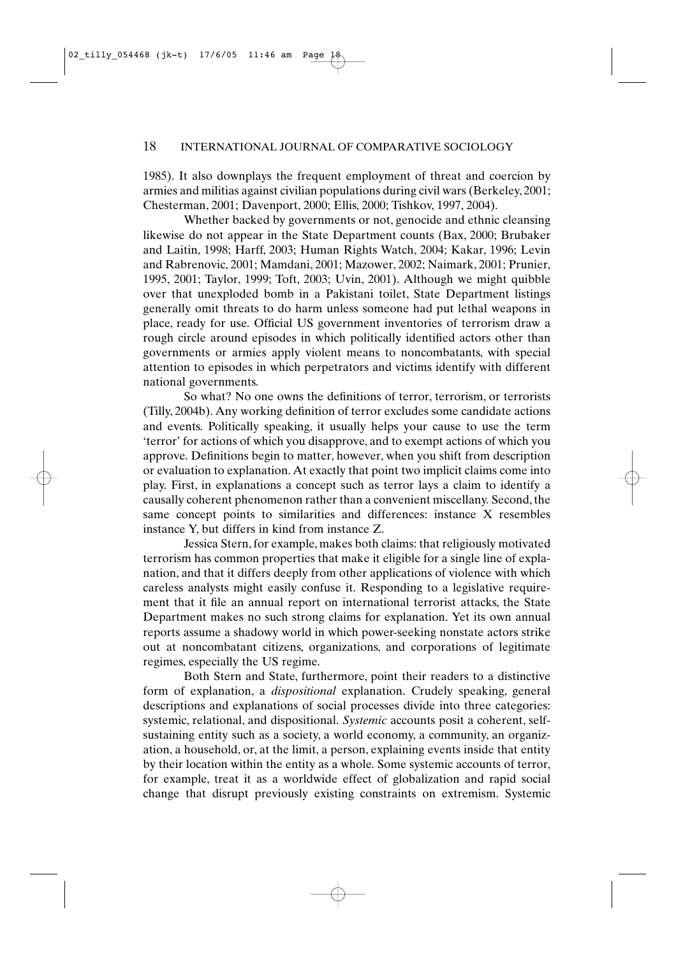1985). It also downplays the frequent employment of threat and coercion by armies and militias against civilian populations during civil wars (Berkeley, 2001; Chesterman, 2001; Davenport, 2000; Ellis, 2000; Tishkov, 1997, 2004).

Whether backed by governments or not, genocide and ethnic cleansing likewise do not appear in the State Department counts (Bax, 2000; Brubaker and Laitin, 1998; Harff, 2003; Human Rights Watch, 2004; Kakar, 1996; Levin and Rabrenovic, 2001; Mamdani, 2001; Mazower, 2002; Naimark, 2001; Prunier, 1995, 2001; Taylor, 1999; Toft, 2003; Uvin, 2001). Although we might quibble over that unexploded bomb in a Pakistani toilet, State Department listings generally omit threats to do harm unless someone had put lethal weapons in place, ready for use. Official US government inventories of terrorism draw a rough circle around episodes in which politically identified actors other than governments or armies apply violent means to noncombatants, with special attention to episodes in which perpetrators and victims identify with different national governments.

So what? No one owns the definitions of terror, terrorism, or terrorists (Tilly, 2004b). Any working definition of terror excludes some candidate actions and events. Politically speaking, it usually helps your cause to use the term 'terror' for actions of which you disapprove, and to exempt actions of which you approve. Definitions begin to matter, however, when you shift from description or evaluation to explanation. At exactly that point two implicit claims come into play. First, in explanations a concept such as terror lays a claim to identify a causally coherent phenomenon rather than a convenient miscellany. Second, the same concept points to similarities and differences: instance X resembles instance Y, but differs in kind from instance Z.

Jessica Stern, for example, makes both claims: that religiously motivated terrorism has common properties that make it eligible for a single line of explanation, and that it differs deeply from other applications of violence with which careless analysts might easily confuse it. Responding to a legislative requirement that it file an annual report on international terrorist attacks, the State Department makes no such strong claims for explanation. Yet its own annual reports assume a shadowy world in which power-seeking nonstate actors strike out at noncombatant citizens, organizations, and corporations of legitimate regimes, especially the US regime.

Both Stern and State, furthermore, point their readers to a distinctive form of explanation, a *dispositional* explanation. Crudely speaking, general descriptions and explanations of social processes divide into three categories: systemic, relational, and dispositional. *Systemic* accounts posit a coherent, selfsustaining entity such as a society, a world economy, a community, an organization, a household, or, at the limit, a person, explaining events inside that entity by their location within the entity as a whole. Some systemic accounts of terror, for example, treat it as a worldwide effect of globalization and rapid social change that disrupt previously existing constraints on extremism. Systemic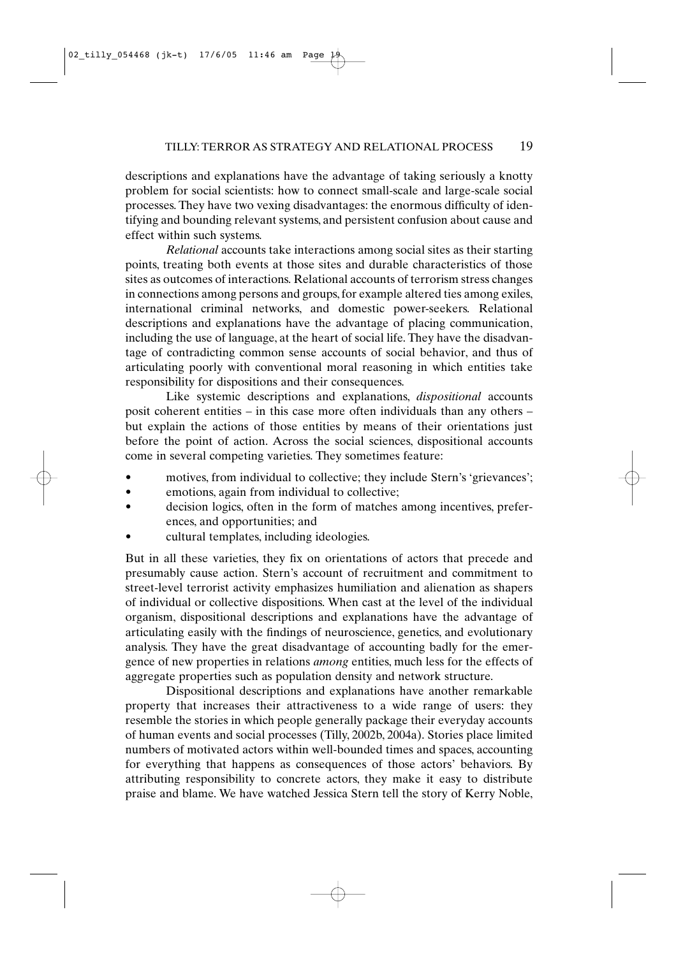descriptions and explanations have the advantage of taking seriously a knotty problem for social scientists: how to connect small-scale and large-scale social processes. They have two vexing disadvantages: the enormous difficulty of identifying and bounding relevant systems, and persistent confusion about cause and effect within such systems.

*Relational* accounts take interactions among social sites as their starting points, treating both events at those sites and durable characteristics of those sites as outcomes of interactions. Relational accounts of terrorism stress changes in connections among persons and groups, for example altered ties among exiles, international criminal networks, and domestic power-seekers. Relational descriptions and explanations have the advantage of placing communication, including the use of language, at the heart of social life. They have the disadvantage of contradicting common sense accounts of social behavior, and thus of articulating poorly with conventional moral reasoning in which entities take responsibility for dispositions and their consequences.

Like systemic descriptions and explanations, *dispositional* accounts posit coherent entities – in this case more often individuals than any others – but explain the actions of those entities by means of their orientations just before the point of action. Across the social sciences, dispositional accounts come in several competing varieties. They sometimes feature:

- motives, from individual to collective; they include Stern's 'grievances';
- emotions, again from individual to collective;
- decision logics, often in the form of matches among incentives, preferences, and opportunities; and
- cultural templates, including ideologies.

But in all these varieties, they fix on orientations of actors that precede and presumably cause action. Stern's account of recruitment and commitment to street-level terrorist activity emphasizes humiliation and alienation as shapers of individual or collective dispositions. When cast at the level of the individual organism, dispositional descriptions and explanations have the advantage of articulating easily with the findings of neuroscience, genetics, and evolutionary analysis. They have the great disadvantage of accounting badly for the emergence of new properties in relations *among* entities, much less for the effects of aggregate properties such as population density and network structure.

Dispositional descriptions and explanations have another remarkable property that increases their attractiveness to a wide range of users: they resemble the stories in which people generally package their everyday accounts of human events and social processes (Tilly, 2002b, 2004a). Stories place limited numbers of motivated actors within well-bounded times and spaces, accounting for everything that happens as consequences of those actors' behaviors. By attributing responsibility to concrete actors, they make it easy to distribute praise and blame. We have watched Jessica Stern tell the story of Kerry Noble,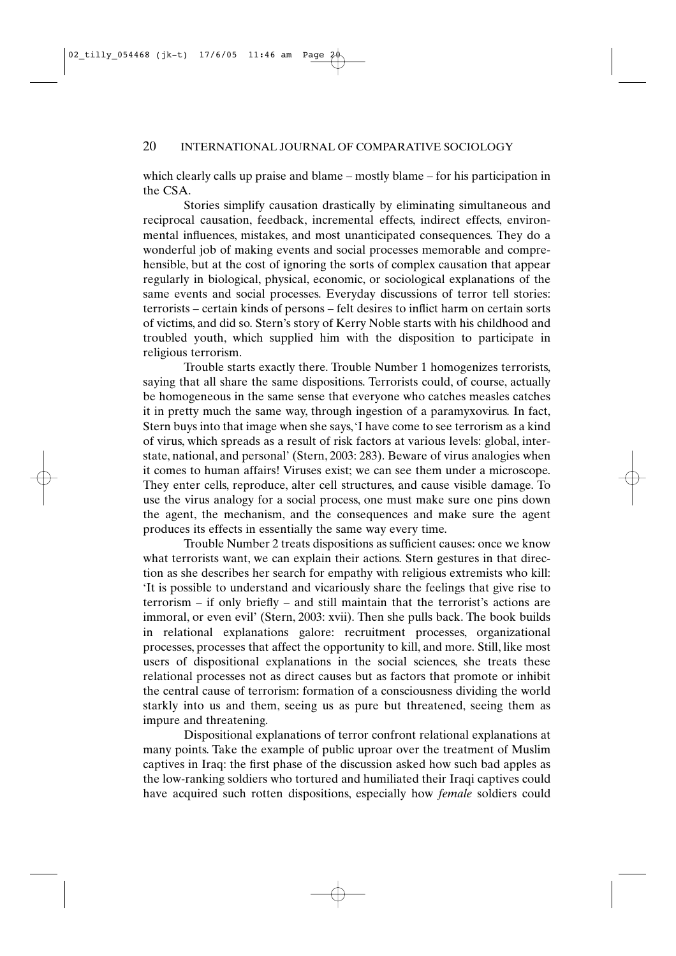which clearly calls up praise and blame – mostly blame – for his participation in the CSA.

Stories simplify causation drastically by eliminating simultaneous and reciprocal causation, feedback, incremental effects, indirect effects, environmental influences, mistakes, and most unanticipated consequences. They do a wonderful job of making events and social processes memorable and comprehensible, but at the cost of ignoring the sorts of complex causation that appear regularly in biological, physical, economic, or sociological explanations of the same events and social processes. Everyday discussions of terror tell stories: terrorists – certain kinds of persons – felt desires to inflict harm on certain sorts of victims, and did so. Stern's story of Kerry Noble starts with his childhood and troubled youth, which supplied him with the disposition to participate in religious terrorism.

Trouble starts exactly there. Trouble Number 1 homogenizes terrorists, saying that all share the same dispositions. Terrorists could, of course, actually be homogeneous in the same sense that everyone who catches measles catches it in pretty much the same way, through ingestion of a paramyxovirus. In fact, Stern buys into that image when she says,'I have come to see terrorism as a kind of virus, which spreads as a result of risk factors at various levels: global, interstate, national, and personal' (Stern, 2003: 283). Beware of virus analogies when it comes to human affairs! Viruses exist; we can see them under a microscope. They enter cells, reproduce, alter cell structures, and cause visible damage. To use the virus analogy for a social process, one must make sure one pins down the agent, the mechanism, and the consequences and make sure the agent produces its effects in essentially the same way every time.

Trouble Number 2 treats dispositions as sufficient causes: once we know what terrorists want, we can explain their actions. Stern gestures in that direction as she describes her search for empathy with religious extremists who kill: 'It is possible to understand and vicariously share the feelings that give rise to terrorism – if only briefly – and still maintain that the terrorist's actions are immoral, or even evil' (Stern, 2003: xvii). Then she pulls back. The book builds in relational explanations galore: recruitment processes, organizational processes, processes that affect the opportunity to kill, and more. Still, like most users of dispositional explanations in the social sciences, she treats these relational processes not as direct causes but as factors that promote or inhibit the central cause of terrorism: formation of a consciousness dividing the world starkly into us and them, seeing us as pure but threatened, seeing them as impure and threatening.

Dispositional explanations of terror confront relational explanations at many points. Take the example of public uproar over the treatment of Muslim captives in Iraq: the first phase of the discussion asked how such bad apples as the low-ranking soldiers who tortured and humiliated their Iraqi captives could have acquired such rotten dispositions, especially how *female* soldiers could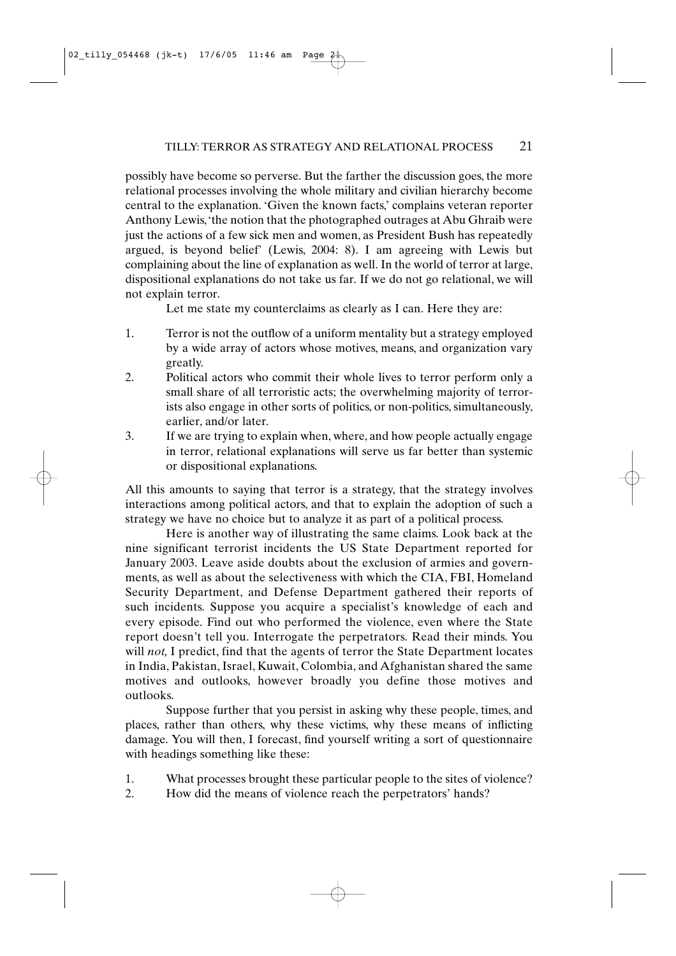possibly have become so perverse. But the farther the discussion goes, the more relational processes involving the whole military and civilian hierarchy become central to the explanation. 'Given the known facts,' complains veteran reporter Anthony Lewis,'the notion that the photographed outrages at Abu Ghraib were just the actions of a few sick men and women, as President Bush has repeatedly argued, is beyond belief' (Lewis, 2004: 8). I am agreeing with Lewis but complaining about the line of explanation as well. In the world of terror at large, dispositional explanations do not take us far. If we do not go relational, we will not explain terror.

Let me state my counterclaims as clearly as I can. Here they are:

- 1. Terror is not the outflow of a uniform mentality but a strategy employed by a wide array of actors whose motives, means, and organization vary greatly.
- 2. Political actors who commit their whole lives to terror perform only a small share of all terroristic acts; the overwhelming majority of terrorists also engage in other sorts of politics, or non-politics, simultaneously, earlier, and/or later.
- 3. If we are trying to explain when, where, and how people actually engage in terror, relational explanations will serve us far better than systemic or dispositional explanations.

All this amounts to saying that terror is a strategy, that the strategy involves interactions among political actors, and that to explain the adoption of such a strategy we have no choice but to analyze it as part of a political process.

Here is another way of illustrating the same claims. Look back at the nine significant terrorist incidents the US State Department reported for January 2003. Leave aside doubts about the exclusion of armies and governments, as well as about the selectiveness with which the CIA, FBI, Homeland Security Department, and Defense Department gathered their reports of such incidents. Suppose you acquire a specialist's knowledge of each and every episode. Find out who performed the violence, even where the State report doesn't tell you. Interrogate the perpetrators. Read their minds. You will *not,* I predict, find that the agents of terror the State Department locates in India, Pakistan, Israel, Kuwait, Colombia, and Afghanistan shared the same motives and outlooks, however broadly you define those motives and outlooks.

Suppose further that you persist in asking why these people, times, and places, rather than others, why these victims, why these means of inflicting damage. You will then, I forecast, find yourself writing a sort of questionnaire with headings something like these:

- 1. What processes brought these particular people to the sites of violence?
- 2. How did the means of violence reach the perpetrators' hands?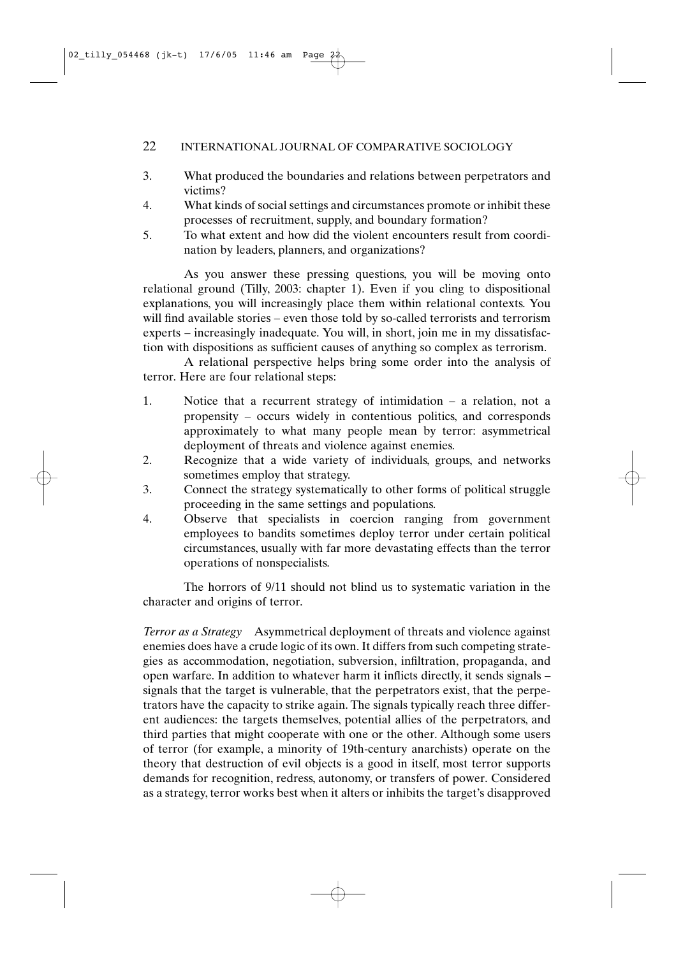- 3. What produced the boundaries and relations between perpetrators and victims?
- 4. What kinds of social settings and circumstances promote or inhibit these processes of recruitment, supply, and boundary formation?
- 5. To what extent and how did the violent encounters result from coordination by leaders, planners, and organizations?

As you answer these pressing questions, you will be moving onto relational ground (Tilly, 2003: chapter 1). Even if you cling to dispositional explanations, you will increasingly place them within relational contexts. You will find available stories – even those told by so-called terrorists and terrorism experts – increasingly inadequate. You will, in short, join me in my dissatisfaction with dispositions as sufficient causes of anything so complex as terrorism.

A relational perspective helps bring some order into the analysis of terror. Here are four relational steps:

- 1. Notice that a recurrent strategy of intimidation a relation, not a propensity – occurs widely in contentious politics, and corresponds approximately to what many people mean by terror: asymmetrical deployment of threats and violence against enemies.
- 2. Recognize that a wide variety of individuals, groups, and networks sometimes employ that strategy.
- 3. Connect the strategy systematically to other forms of political struggle proceeding in the same settings and populations.
- 4. Observe that specialists in coercion ranging from government employees to bandits sometimes deploy terror under certain political circumstances, usually with far more devastating effects than the terror operations of nonspecialists.

The horrors of 9/11 should not blind us to systematic variation in the character and origins of terror.

*Terror as a Strategy* Asymmetrical deployment of threats and violence against enemies does have a crude logic of its own. It differs from such competing strategies as accommodation, negotiation, subversion, infiltration, propaganda, and open warfare. In addition to whatever harm it inflicts directly, it sends signals – signals that the target is vulnerable, that the perpetrators exist, that the perpetrators have the capacity to strike again. The signals typically reach three different audiences: the targets themselves, potential allies of the perpetrators, and third parties that might cooperate with one or the other. Although some users of terror (for example, a minority of 19th-century anarchists) operate on the theory that destruction of evil objects is a good in itself, most terror supports demands for recognition, redress, autonomy, or transfers of power. Considered as a strategy, terror works best when it alters or inhibits the target's disapproved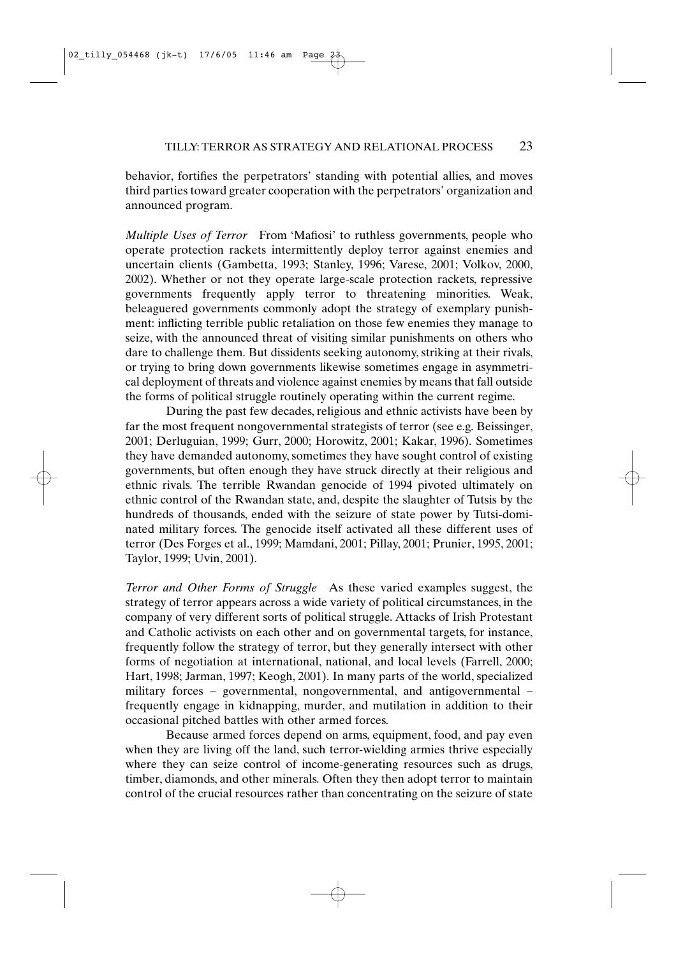behavior, fortifies the perpetrators' standing with potential allies, and moves third parties toward greater cooperation with the perpetrators' organization and announced program.

*Multiple Uses of Terror* From 'Mafiosi' to ruthless governments, people who operate protection rackets intermittently deploy terror against enemies and uncertain clients (Gambetta, 1993; Stanley, 1996; Varese, 2001; Volkov, 2000, 2002). Whether or not they operate large-scale protection rackets, repressive governments frequently apply terror to threatening minorities. Weak, beleaguered governments commonly adopt the strategy of exemplary punishment: inflicting terrible public retaliation on those few enemies they manage to seize, with the announced threat of visiting similar punishments on others who dare to challenge them. But dissidents seeking autonomy, striking at their rivals, or trying to bring down governments likewise sometimes engage in asymmetrical deployment of threats and violence against enemies by means that fall outside the forms of political struggle routinely operating within the current regime.

During the past few decades, religious and ethnic activists have been by far the most frequent nongovernmental strategists of terror (see e.g. Beissinger, 2001; Derluguian, 1999; Gurr, 2000; Horowitz, 2001; Kakar, 1996). Sometimes they have demanded autonomy, sometimes they have sought control of existing governments, but often enough they have struck directly at their religious and ethnic rivals. The terrible Rwandan genocide of 1994 pivoted ultimately on ethnic control of the Rwandan state, and, despite the slaughter of Tutsis by the hundreds of thousands, ended with the seizure of state power by Tutsi-dominated military forces. The genocide itself activated all these different uses of terror (Des Forges et al., 1999; Mamdani, 2001; Pillay, 2001; Prunier, 1995, 2001; Taylor, 1999; Uvin, 2001).

*Terror and Other Forms of Struggle* As these varied examples suggest, the strategy of terror appears across a wide variety of political circumstances, in the company of very different sorts of political struggle. Attacks of Irish Protestant and Catholic activists on each other and on governmental targets, for instance, frequently follow the strategy of terror, but they generally intersect with other forms of negotiation at international, national, and local levels (Farrell, 2000; Hart, 1998; Jarman, 1997; Keogh, 2001). In many parts of the world, specialized military forces – governmental, nongovernmental, and antigovernmental – frequently engage in kidnapping, murder, and mutilation in addition to their occasional pitched battles with other armed forces.

Because armed forces depend on arms, equipment, food, and pay even when they are living off the land, such terror-wielding armies thrive especially where they can seize control of income-generating resources such as drugs, timber, diamonds, and other minerals. Often they then adopt terror to maintain control of the crucial resources rather than concentrating on the seizure of state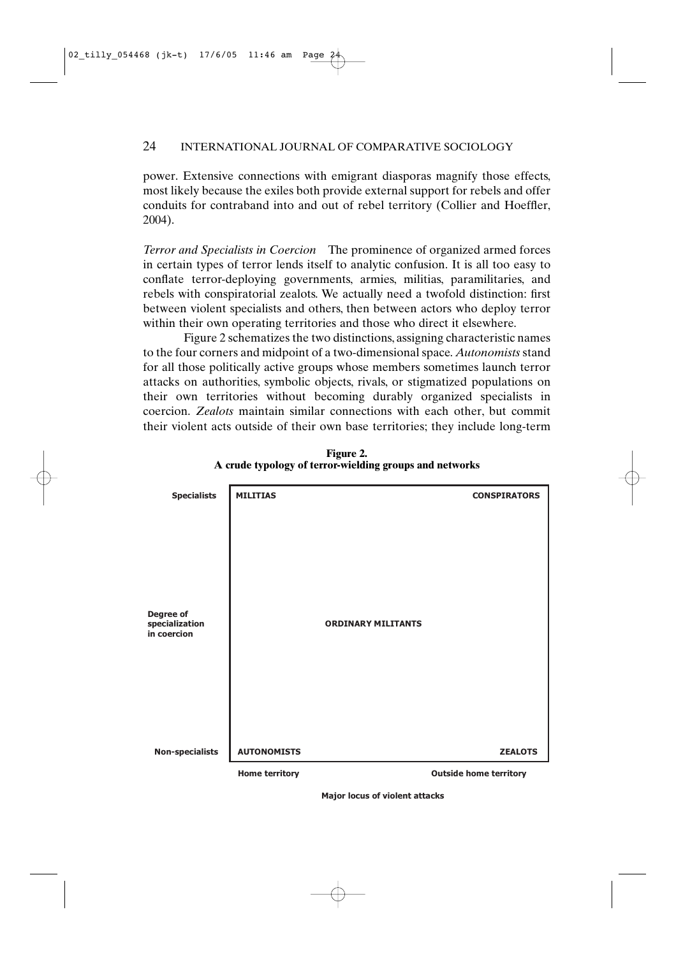power. Extensive connections with emigrant diasporas magnify those effects, most likely because the exiles both provide external support for rebels and offer conduits for contraband into and out of rebel territory (Collier and Hoeffler, 2004).

*Terror and Specialists in Coercion* The prominence of organized armed forces in certain types of terror lends itself to analytic confusion. It is all too easy to conflate terror-deploying governments, armies, militias, paramilitaries, and rebels with conspiratorial zealots. We actually need a twofold distinction: first between violent specialists and others, then between actors who deploy terror within their own operating territories and those who direct it elsewhere.

Figure 2 schematizes the two distinctions, assigning characteristic names to the four corners and midpoint of a two-dimensional space. *Autonomists* stand for all those politically active groups whose members sometimes launch terror attacks on authorities, symbolic objects, rivals, or stigmatized populations on their own territories without becoming durably organized specialists in coercion. *Zealots* maintain similar connections with each other, but commit their violent acts outside of their own base territories; they include long-term



**Figure 2. A crude typology of terror-wielding groups and networks**

 **Major locus of violent attacks**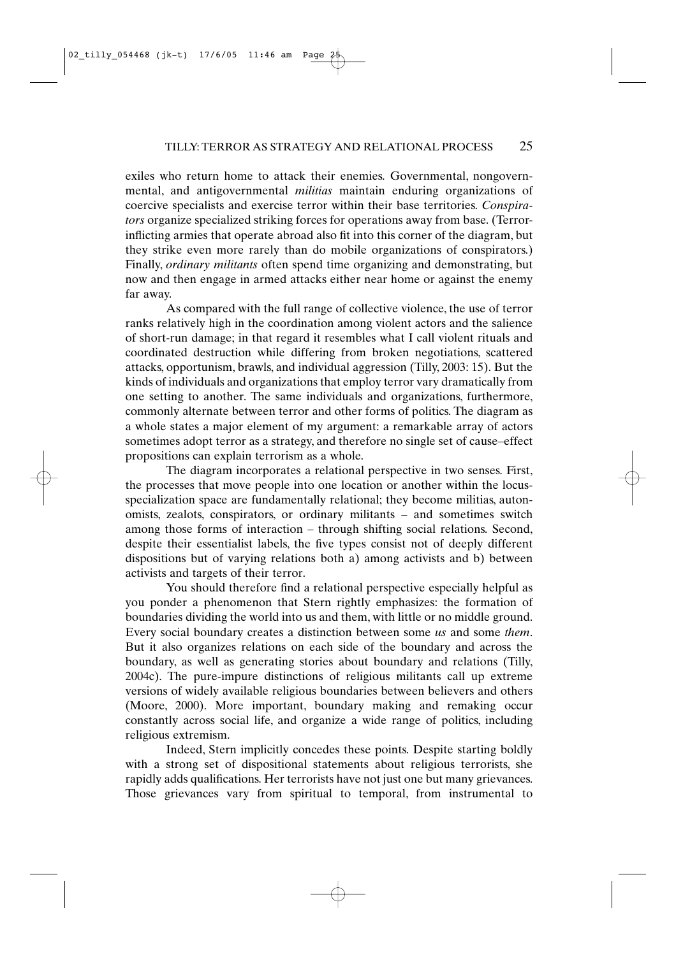exiles who return home to attack their enemies. Governmental, nongovernmental, and antigovernmental *militias* maintain enduring organizations of coercive specialists and exercise terror within their base territories. *Conspirators* organize specialized striking forces for operations away from base. (Terrorinflicting armies that operate abroad also fit into this corner of the diagram, but they strike even more rarely than do mobile organizations of conspirators.) Finally, *ordinary militants* often spend time organizing and demonstrating, but now and then engage in armed attacks either near home or against the enemy far away.

As compared with the full range of collective violence, the use of terror ranks relatively high in the coordination among violent actors and the salience of short-run damage; in that regard it resembles what I call violent rituals and coordinated destruction while differing from broken negotiations, scattered attacks, opportunism, brawls, and individual aggression (Tilly, 2003: 15). But the kinds of individuals and organizations that employ terror vary dramatically from one setting to another. The same individuals and organizations, furthermore, commonly alternate between terror and other forms of politics. The diagram as a whole states a major element of my argument: a remarkable array of actors sometimes adopt terror as a strategy, and therefore no single set of cause–effect propositions can explain terrorism as a whole.

The diagram incorporates a relational perspective in two senses. First, the processes that move people into one location or another within the locusspecialization space are fundamentally relational; they become militias, autonomists, zealots, conspirators, or ordinary militants – and sometimes switch among those forms of interaction – through shifting social relations. Second, despite their essentialist labels, the five types consist not of deeply different dispositions but of varying relations both a) among activists and b) between activists and targets of their terror.

You should therefore find a relational perspective especially helpful as you ponder a phenomenon that Stern rightly emphasizes: the formation of boundaries dividing the world into us and them, with little or no middle ground. Every social boundary creates a distinction between some *us* and some *them*. But it also organizes relations on each side of the boundary and across the boundary, as well as generating stories about boundary and relations (Tilly, 2004c). The pure-impure distinctions of religious militants call up extreme versions of widely available religious boundaries between believers and others (Moore, 2000). More important, boundary making and remaking occur constantly across social life, and organize a wide range of politics, including religious extremism.

Indeed, Stern implicitly concedes these points. Despite starting boldly with a strong set of dispositional statements about religious terrorists, she rapidly adds qualifications. Her terrorists have not just one but many grievances. Those grievances vary from spiritual to temporal, from instrumental to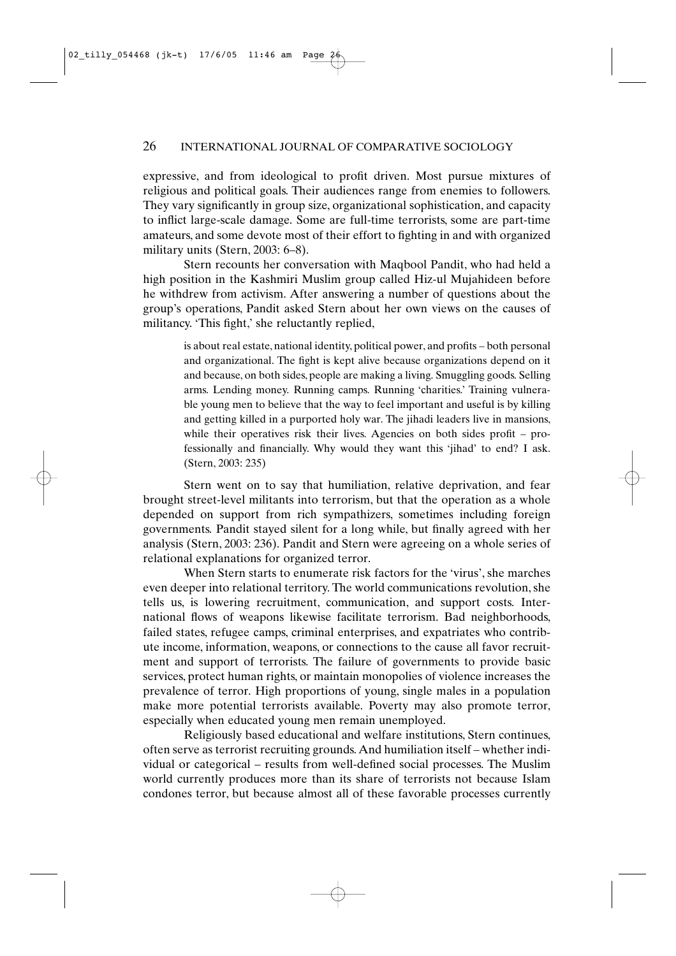expressive, and from ideological to profit driven. Most pursue mixtures of religious and political goals. Their audiences range from enemies to followers. They vary significantly in group size, organizational sophistication, and capacity to inflict large-scale damage. Some are full-time terrorists, some are part-time amateurs, and some devote most of their effort to fighting in and with organized military units (Stern, 2003: 6–8).

Stern recounts her conversation with Maqbool Pandit, who had held a high position in the Kashmiri Muslim group called Hiz-ul Mujahideen before he withdrew from activism. After answering a number of questions about the group's operations, Pandit asked Stern about her own views on the causes of militancy. 'This fight,' she reluctantly replied,

is about real estate, national identity, political power, and profits – both personal and organizational. The fight is kept alive because organizations depend on it and because, on both sides, people are making a living. Smuggling goods. Selling arms. Lending money. Running camps. Running 'charities.' Training vulnerable young men to believe that the way to feel important and useful is by killing and getting killed in a purported holy war. The jihadi leaders live in mansions, while their operatives risk their lives. Agencies on both sides profit – professionally and financially. Why would they want this 'jihad' to end? I ask. (Stern, 2003: 235)

Stern went on to say that humiliation, relative deprivation, and fear brought street-level militants into terrorism, but that the operation as a whole depended on support from rich sympathizers, sometimes including foreign governments. Pandit stayed silent for a long while, but finally agreed with her analysis (Stern, 2003: 236). Pandit and Stern were agreeing on a whole series of relational explanations for organized terror.

When Stern starts to enumerate risk factors for the 'virus', she marches even deeper into relational territory. The world communications revolution, she tells us, is lowering recruitment, communication, and support costs. International flows of weapons likewise facilitate terrorism. Bad neighborhoods, failed states, refugee camps, criminal enterprises, and expatriates who contribute income, information, weapons, or connections to the cause all favor recruitment and support of terrorists. The failure of governments to provide basic services, protect human rights, or maintain monopolies of violence increases the prevalence of terror. High proportions of young, single males in a population make more potential terrorists available. Poverty may also promote terror, especially when educated young men remain unemployed.

Religiously based educational and welfare institutions, Stern continues, often serve as terrorist recruiting grounds. And humiliation itself – whether individual or categorical – results from well-defined social processes. The Muslim world currently produces more than its share of terrorists not because Islam condones terror, but because almost all of these favorable processes currently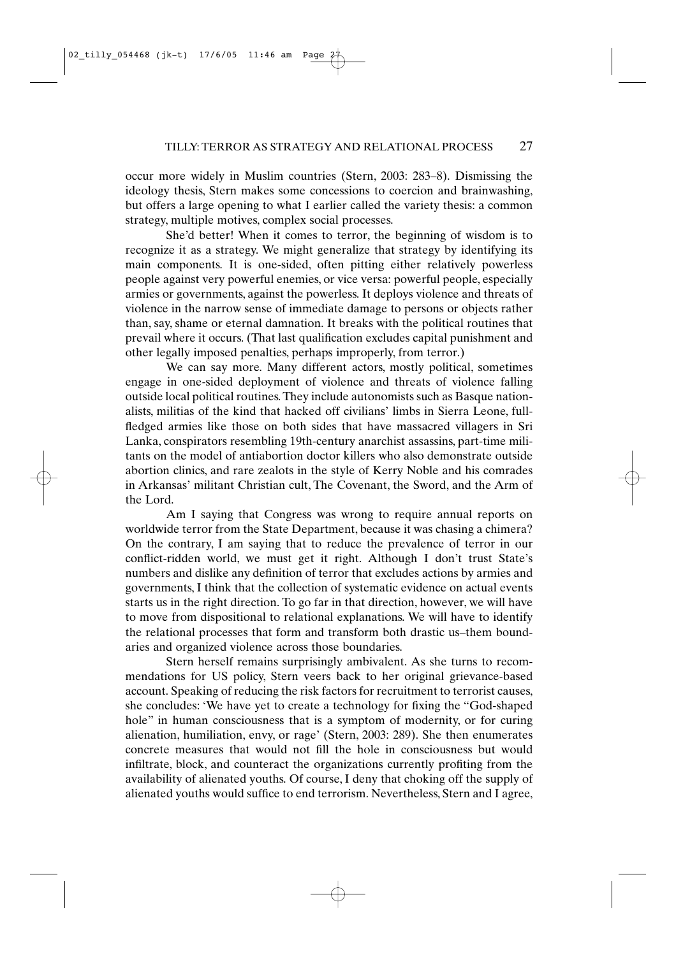occur more widely in Muslim countries (Stern, 2003: 283–8). Dismissing the ideology thesis, Stern makes some concessions to coercion and brainwashing, but offers a large opening to what I earlier called the variety thesis: a common strategy, multiple motives, complex social processes.

She'd better! When it comes to terror, the beginning of wisdom is to recognize it as a strategy. We might generalize that strategy by identifying its main components. It is one-sided, often pitting either relatively powerless people against very powerful enemies, or vice versa: powerful people, especially armies or governments, against the powerless. It deploys violence and threats of violence in the narrow sense of immediate damage to persons or objects rather than, say, shame or eternal damnation. It breaks with the political routines that prevail where it occurs. (That last qualification excludes capital punishment and other legally imposed penalties, perhaps improperly, from terror.)

We can say more. Many different actors, mostly political, sometimes engage in one-sided deployment of violence and threats of violence falling outside local political routines. They include autonomists such as Basque nationalists, militias of the kind that hacked off civilians' limbs in Sierra Leone, fullfledged armies like those on both sides that have massacred villagers in Sri Lanka, conspirators resembling 19th-century anarchist assassins, part-time militants on the model of antiabortion doctor killers who also demonstrate outside abortion clinics, and rare zealots in the style of Kerry Noble and his comrades in Arkansas' militant Christian cult, The Covenant, the Sword, and the Arm of the Lord.

Am I saying that Congress was wrong to require annual reports on worldwide terror from the State Department, because it was chasing a chimera? On the contrary, I am saying that to reduce the prevalence of terror in our conflict-ridden world, we must get it right. Although I don't trust State's numbers and dislike any definition of terror that excludes actions by armies and governments, I think that the collection of systematic evidence on actual events starts us in the right direction. To go far in that direction, however, we will have to move from dispositional to relational explanations. We will have to identify the relational processes that form and transform both drastic us–them boundaries and organized violence across those boundaries.

Stern herself remains surprisingly ambivalent. As she turns to recommendations for US policy, Stern veers back to her original grievance-based account. Speaking of reducing the risk factors for recruitment to terrorist causes, she concludes: 'We have yet to create a technology for fixing the "God-shaped hole" in human consciousness that is a symptom of modernity, or for curing alienation, humiliation, envy, or rage' (Stern, 2003: 289). She then enumerates concrete measures that would not fill the hole in consciousness but would infiltrate, block, and counteract the organizations currently profiting from the availability of alienated youths. Of course, I deny that choking off the supply of alienated youths would suffice to end terrorism. Nevertheless, Stern and I agree,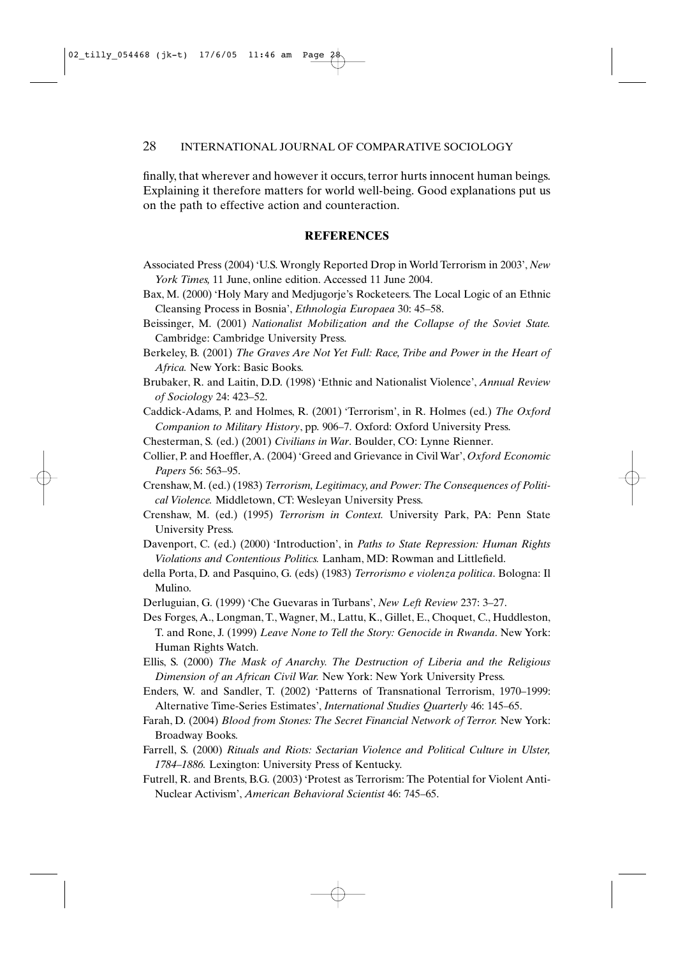finally, that wherever and however it occurs, terror hurts innocent human beings. Explaining it therefore matters for world well-being. Good explanations put us on the path to effective action and counteraction.

#### **REFERENCES**

- Associated Press (2004) 'U.S. Wrongly Reported Drop in World Terrorism in 2003', *New York Times,* 11 June, online edition. Accessed 11 June 2004.
- Bax, M. (2000) 'Holy Mary and Medjugorje's Rocketeers. The Local Logic of an Ethnic Cleansing Process in Bosnia', *Ethnologia Europaea* 30: 45–58.
- Beissinger, M. (2001) *Nationalist Mobilization and the Collapse of the Soviet State.* Cambridge: Cambridge University Press.
- Berkeley, B. (2001) *The Graves Are Not Yet Full: Race, Tribe and Power in the Heart of Africa.* New York: Basic Books.
- Brubaker, R. and Laitin, D.D. (1998) 'Ethnic and Nationalist Violence', *Annual Review of Sociology* 24: 423–52.
- Caddick-Adams, P. and Holmes, R. (2001) 'Terrorism', in R. Holmes (ed.) *The Oxford Companion to Military History*, pp. 906–7. Oxford: Oxford University Press.
- Chesterman, S. (ed.) (2001) *Civilians in War*. Boulder, CO: Lynne Rienner.
- Collier, P. and Hoeffler,A. (2004) 'Greed and Grievance in Civil War', *Oxford Economic Papers* 56: 563–95.
- Crenshaw, M. (ed.) (1983) *Terrorism, Legitimacy, and Power: The Consequences of Political Violence.* Middletown, CT: Wesleyan University Press.
- Crenshaw, M. (ed.) (1995) *Terrorism in Context.* University Park, PA: Penn State University Press.
- Davenport, C. (ed.) (2000) 'Introduction', in *Paths to State Repression: Human Rights Violations and Contentious Politics.* Lanham, MD: Rowman and Littlefield.
- della Porta, D. and Pasquino, G. (eds) (1983) *Terrorismo e violenza politica*. Bologna: Il Mulino.
- Derluguian, G. (1999) 'Che Guevaras in Turbans', *New Left Review* 237: 3–27.
- Des Forges, A., Longman, T., Wagner, M., Lattu, K., Gillet, E., Choquet, C., Huddleston, T. and Rone, J. (1999) *Leave None to Tell the Story: Genocide in Rwanda*. New York: Human Rights Watch.
- Ellis, S. (2000) *The Mask of Anarchy. The Destruction of Liberia and the Religious Dimension of an African Civil War.* New York: New York University Press.
- Enders, W. and Sandler, T. (2002) 'Patterns of Transnational Terrorism, 1970–1999: Alternative Time-Series Estimates', *International Studies Quarterly* 46: 145–65.
- Farah, D. (2004) *Blood from Stones: The Secret Financial Network of Terror.* New York: Broadway Books.
- Farrell, S. (2000) *Rituals and Riots: Sectarian Violence and Political Culture in Ulster, 1784–1886.* Lexington: University Press of Kentucky.
- Futrell, R. and Brents, B.G. (2003) 'Protest as Terrorism: The Potential for Violent Anti-Nuclear Activism', *American Behavioral Scientist* 46: 745–65.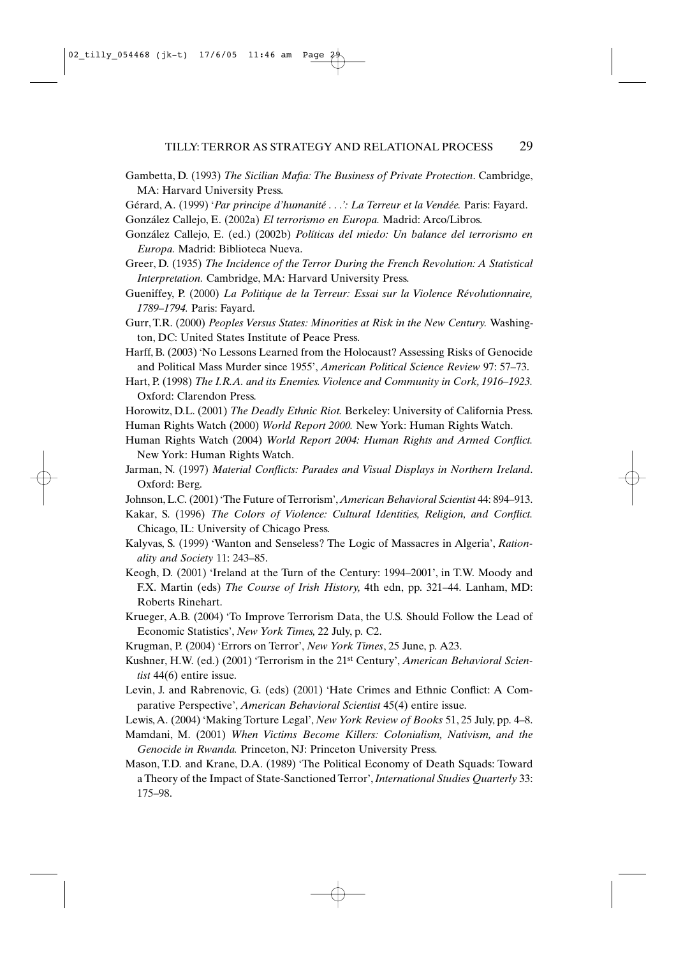- Gambetta, D. (1993) *The Sicilian Mafia: The Business of Private Protection*. Cambridge, MA: Harvard University Press.
- Gérard, A. (1999) '*Par principe d'humanité ...': La Terreur et la Vendée. Paris: Fayard.*
- González Callejo, E. (2002a) *El terrorismo en Europa.* Madrid: Arco/Libros.
- González Callejo, E. (ed.) (2002b) *Políticas del miedo: Un balance del terrorismo en Europa.* Madrid: Biblioteca Nueva.
- Greer, D. (1935) *The Incidence of the Terror During the French Revolution: A Statistical Interpretation.* Cambridge, MA: Harvard University Press.
- Gueniffey, P. (2000) *La Politique de la Terreur: Essai sur la Violence Révolutionnaire, 1789–1794.* Paris: Fayard.
- Gurr, T.R. (2000) *Peoples Versus States: Minorities at Risk in the New Century.* Washington, DC: United States Institute of Peace Press.
- Harff, B. (2003) 'No Lessons Learned from the Holocaust? Assessing Risks of Genocide and Political Mass Murder since 1955', *American Political Science Review* 97: 57–73.
- Hart, P. (1998) *The I.R.A. and its Enemies. Violence and Community in Cork, 1916–1923.* Oxford: Clarendon Press.
- Horowitz, D.L. (2001) *The Deadly Ethnic Riot.* Berkeley: University of California Press.
- Human Rights Watch (2000) *World Report 2000.* New York: Human Rights Watch.
- Human Rights Watch (2004) *World Report 2004: Human Rights and Armed Conflict.* New York: Human Rights Watch.
- Jarman, N. (1997) *Material Conflicts: Parades and Visual Displays in Northern Ireland*. Oxford: Berg.
- Johnson, L.C. (2001) 'The Future of Terrorism',*American Behavioral Scientist* 44: 894–913.
- Kakar, S. (1996) *The Colors of Violence: Cultural Identities, Religion, and Conflict.* Chicago, IL: University of Chicago Press.
- Kalyvas, S. (1999) 'Wanton and Senseless? The Logic of Massacres in Algeria', *Rationality and Society* 11: 243–85.
- Keogh, D. (2001) 'Ireland at the Turn of the Century: 1994–2001', in T.W. Moody and F.X. Martin (eds) *The Course of Irish History,* 4th edn, pp. 321–44. Lanham, MD: Roberts Rinehart.
- Krueger, A.B. (2004) 'To Improve Terrorism Data, the U.S. Should Follow the Lead of Economic Statistics', *New York Times,* 22 July, p. C2.
- Krugman, P. (2004) 'Errors on Terror', *New York Times*, 25 June, p. A23.
- Kushner, H.W. (ed.) (2001) 'Terrorism in the 21st Century', *American Behavioral Scientist* 44(6) entire issue.
- Levin, J. and Rabrenovic, G. (eds) (2001) 'Hate Crimes and Ethnic Conflict: A Comparative Perspective', *American Behavioral Scientist* 45(4) entire issue.
- Lewis, A. (2004) 'Making Torture Legal', *New York Review of Books* 51, 25 July, pp. 4–8.
- Mamdani, M. (2001) *When Victims Become Killers: Colonialism, Nativism, and the Genocide in Rwanda.* Princeton, NJ: Princeton University Press.
- Mason, T.D. and Krane, D.A. (1989) 'The Political Economy of Death Squads: Toward a Theory of the Impact of State-Sanctioned Terror',*International Studies Quarterly* 33: 175–98.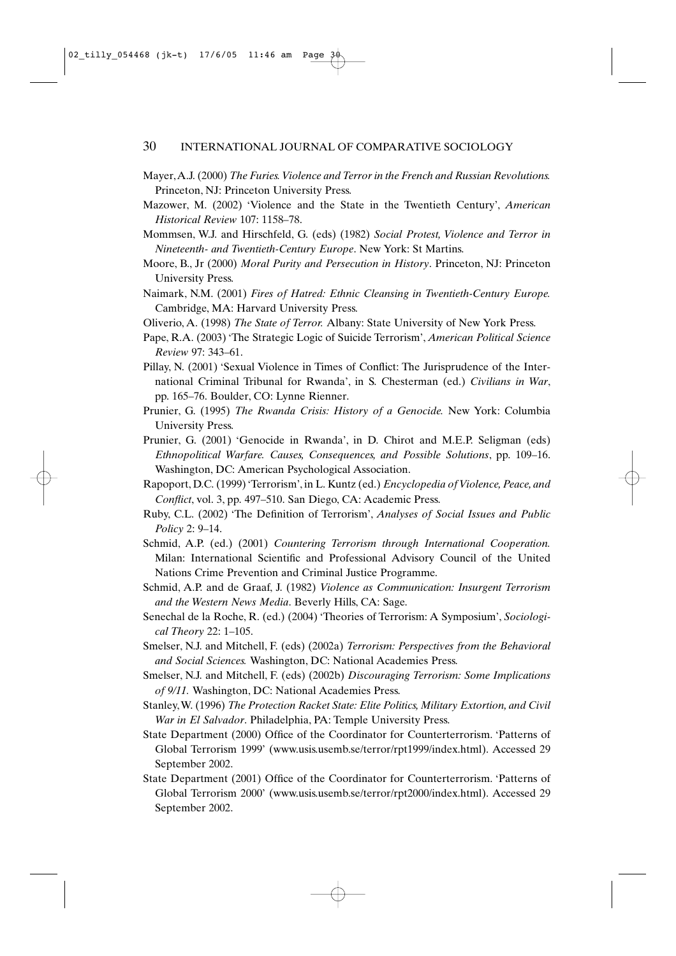- Mayer,A.J. (2000) *The Furies. Violence and Terror in the French and Russian Revolutions.* Princeton, NJ: Princeton University Press.
- Mazower, M. (2002) 'Violence and the State in the Twentieth Century', *American Historical Review* 107: 1158–78.
- Mommsen, W.J. and Hirschfeld, G. (eds) (1982) *Social Protest, Violence and Terror in Nineteenth- and Twentieth-Century Europe*. New York: St Martins.
- Moore, B., Jr (2000) *Moral Purity and Persecution in History*. Princeton, NJ: Princeton University Press.
- Naimark, N.M. (2001) *Fires of Hatred: Ethnic Cleansing in Twentieth-Century Europe.* Cambridge, MA: Harvard University Press.
- Oliverio, A. (1998) *The State of Terror.* Albany: State University of New York Press.
- Pape, R.A. (2003) 'The Strategic Logic of Suicide Terrorism', *American Political Science Review* 97: 343–61.
- Pillay, N. (2001) 'Sexual Violence in Times of Conflict: The Jurisprudence of the International Criminal Tribunal for Rwanda', in S. Chesterman (ed.) *Civilians in War*, pp. 165–76. Boulder, CO: Lynne Rienner.
- Prunier, G. (1995) *The Rwanda Crisis: History of a Genocide.* New York: Columbia University Press.
- Prunier, G. (2001) 'Genocide in Rwanda', in D. Chirot and M.E.P. Seligman (eds) *Ethnopolitical Warfare. Causes, Consequences, and Possible Solutions*, pp. 109–16. Washington, DC: American Psychological Association.
- Rapoport, D.C. (1999) 'Terrorism', in L. Kuntz (ed.) *Encyclopedia of Violence, Peace, and Conflict*, vol. 3, pp. 497–510. San Diego, CA: Academic Press.
- Ruby, C.L. (2002) 'The Definition of Terrorism', *Analyses of Social Issues and Public Policy* 2: 9–14.
- Schmid, A.P. (ed.) (2001) *Countering Terrorism through International Cooperation.* Milan: International Scientific and Professional Advisory Council of the United Nations Crime Prevention and Criminal Justice Programme.
- Schmid, A.P. and de Graaf, J. (1982) *Violence as Communication: Insurgent Terrorism and the Western News Media*. Beverly Hills, CA: Sage.
- Senechal de la Roche, R. (ed.) (2004) 'Theories of Terrorism: A Symposium', *Sociological Theory* 22: 1–105.
- Smelser, N.J. and Mitchell, F. (eds) (2002a) *Terrorism: Perspectives from the Behavioral and Social Sciences.* Washington, DC: National Academies Press.
- Smelser, N.J. and Mitchell, F. (eds) (2002b) *Discouraging Terrorism: Some Implications of 9/11.* Washington, DC: National Academies Press.
- Stanley,W. (1996) *The Protection Racket State: Elite Politics, Military Extortion, and Civil War in El Salvador*. Philadelphia, PA: Temple University Press.
- State Department (2000) Office of the Coordinator for Counterterrorism. 'Patterns of Global Terrorism 1999' (www.usis.usemb.se/terror/rpt1999/index.html). Accessed 29 September 2002.
- State Department (2001) Office of the Coordinator for Counterterrorism. 'Patterns of Global Terrorism 2000' (www.usis.usemb.se/terror/rpt2000/index.html). Accessed 29 September 2002.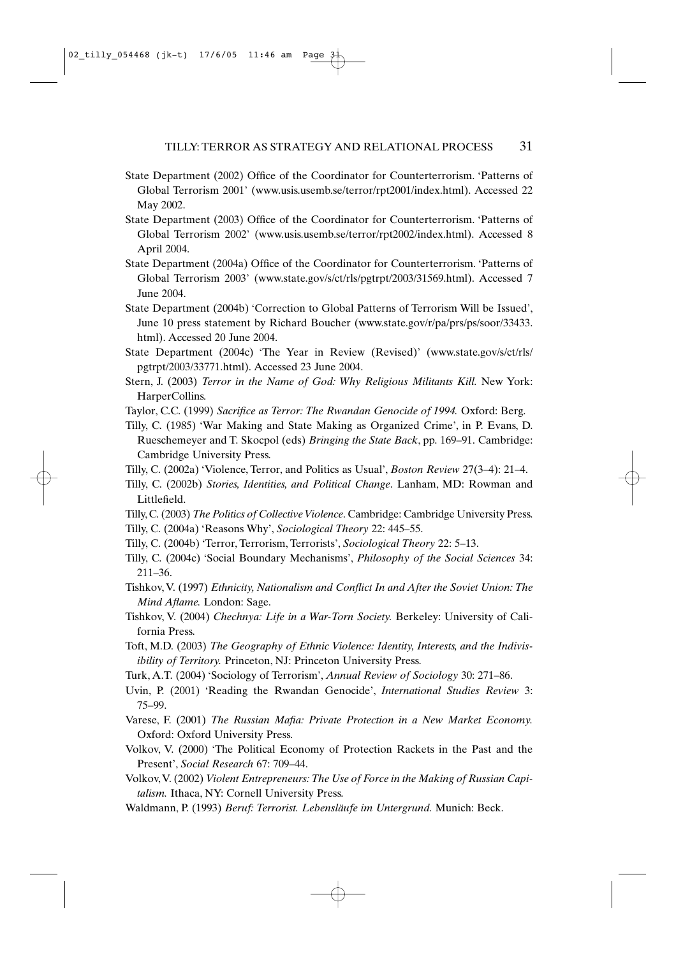- State Department (2002) Office of the Coordinator for Counterterrorism. 'Patterns of Global Terrorism 2001' (www.usis.usemb.se/terror/rpt2001/index.html). Accessed 22 May 2002.
- State Department (2003) Office of the Coordinator for Counterterrorism. 'Patterns of Global Terrorism 2002' (www.usis.usemb.se/terror/rpt2002/index.html). Accessed 8 April 2004.
- State Department (2004a) Office of the Coordinator for Counterterrorism. 'Patterns of Global Terrorism 2003' (www.state.gov/s/ct/rls/pgtrpt/2003/31569.html). Accessed 7 June 2004.
- State Department (2004b) 'Correction to Global Patterns of Terrorism Will be Issued', June 10 press statement by Richard Boucher (www.state.gov/r/pa/prs/ps/soor/33433. html). Accessed 20 June 2004.
- State Department (2004c) 'The Year in Review (Revised)' (www.state.gov/s/ct/rls/ pgtrpt/2003/33771.html). Accessed 23 June 2004.
- Stern, J. (2003) *Terror in the Name of God: Why Religious Militants Kill.* New York: HarperCollins.
- Taylor, C.C. (1999) *Sacrifice as Terror: The Rwandan Genocide of 1994.* Oxford: Berg.
- Tilly, C. (1985) 'War Making and State Making as Organized Crime', in P. Evans, D. Rueschemeyer and T. Skocpol (eds) *Bringing the State Back*, pp. 169–91. Cambridge: Cambridge University Press.
- Tilly, C. (2002a) 'Violence, Terror, and Politics as Usual', *Boston Review* 27(3–4): 21–4.
- Tilly, C. (2002b) *Stories, Identities, and Political Change*. Lanham, MD: Rowman and Littlefield.
- Tilly, C. (2003) *The Politics of Collective Violence*. Cambridge: Cambridge University Press.
- Tilly, C. (2004a) 'Reasons Why', *Sociological Theory* 22: 445–55.
- Tilly, C. (2004b) 'Terror, Terrorism, Terrorists', *Sociological Theory* 22: 5–13.
- Tilly, C. (2004c) 'Social Boundary Mechanisms', *Philosophy of the Social Sciences* 34: 211–36.
- Tishkov, V. (1997) *Ethnicity, Nationalism and Conflict In and After the Soviet Union: The Mind Aflame.* London: Sage.
- Tishkov, V. (2004) *Chechnya: Life in a War-Torn Society.* Berkeley: University of California Press.
- Toft, M.D. (2003) *The Geography of Ethnic Violence: Identity, Interests, and the Indivisibility of Territory.* Princeton, NJ: Princeton University Press.
- Turk, A.T. (2004) 'Sociology of Terrorism', *Annual Review of Sociology* 30: 271–86.
- Uvin, P. (2001) 'Reading the Rwandan Genocide', *International Studies Review* 3: 75–99.
- Varese, F. (2001) *The Russian Mafia: Private Protection in a New Market Economy.* Oxford: Oxford University Press.
- Volkov, V. (2000) 'The Political Economy of Protection Rackets in the Past and the Present', *Social Research* 67: 709–44.
- Volkov,V. (2002) *Violent Entrepreneurs: The Use of Force in the Making of Russian Capitalism.* Ithaca, NY: Cornell University Press.
- Waldmann, P. (1993) *Beruf: Terrorist. Lebensläufe im Untergrund.* Munich: Beck.